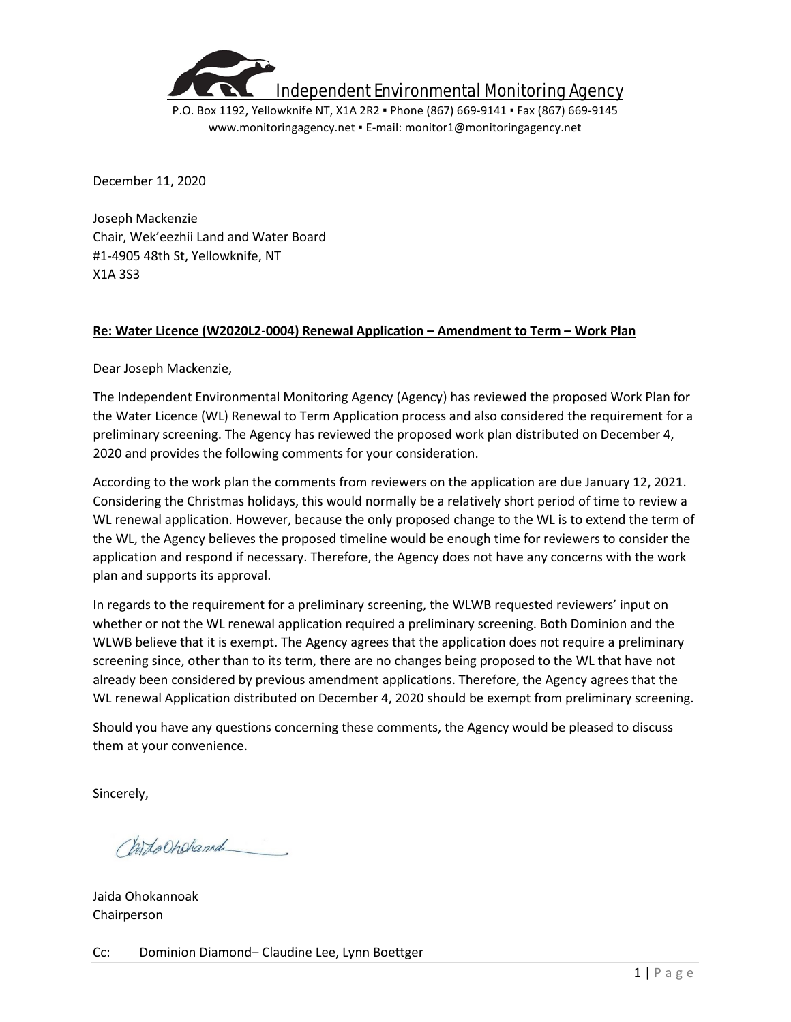

P.O. Box 1192, Yellowknife NT, X1A 2R2 ▪ Phone (867) 669-9141 ▪ Fax (867) 669-9145 www.monitoringagency.net ▪ E-mail: monitor1@monitoringagency.net

December 11, 2020

Joseph Mackenzie Chair, Wek'eezhii Land and Water Board #1-4905 48th St, Yellowknife, NT X1A 3S3

## **Re: Water Licence (W2020L2-0004) Renewal Application – Amendment to Term – Work Plan**

Dear Joseph Mackenzie,

The Independent Environmental Monitoring Agency (Agency) has reviewed the proposed Work Plan for the Water Licence (WL) Renewal to Term Application process and also considered the requirement for a preliminary screening. The Agency has reviewed the proposed work plan distributed on December 4, 2020 and provides the following comments for your consideration.

According to the work plan the comments from reviewers on the application are due January 12, 2021. Considering the Christmas holidays, this would normally be a relatively short period of time to review a WL renewal application. However, because the only proposed change to the WL is to extend the term of the WL, the Agency believes the proposed timeline would be enough time for reviewers to consider the application and respond if necessary. Therefore, the Agency does not have any concerns with the work plan and supports its approval.

In regards to the requirement for a preliminary screening, the WLWB requested reviewers' input on whether or not the WL renewal application required a preliminary screening. Both Dominion and the WLWB believe that it is exempt. The Agency agrees that the application does not require a preliminary screening since, other than to its term, there are no changes being proposed to the WL that have not already been considered by previous amendment applications. Therefore, the Agency agrees that the WL renewal Application distributed on December 4, 2020 should be exempt from preliminary screening.

Should you have any questions concerning these comments, the Agency would be pleased to discuss them at your convenience.

Sincerely,

Chitacheland

Jaida Ohokannoak Chairperson